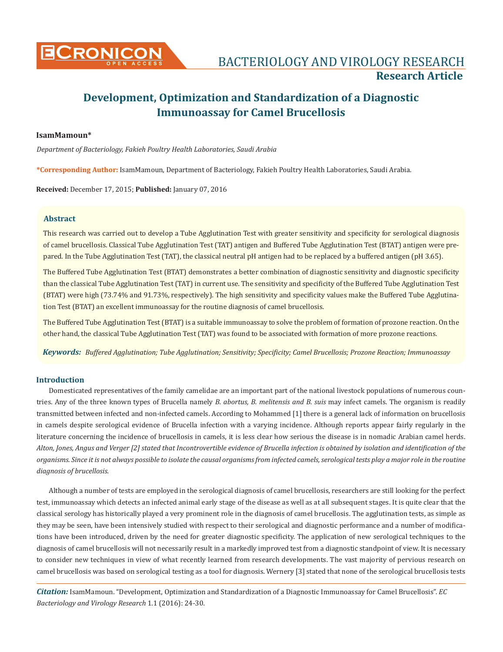

## **IsamMamoun\***

*Department of Bacteriology, Fakieh Poultry Health Laboratories, Saudi Arabia* 

**\*Corresponding Author:** IsamMamoun, Department of Bacteriology, Fakieh Poultry Health Laboratories, Saudi Arabia.

**Received:** December 17, 2015; **Published:** January 07, 2016

## **Abstract**

This research was carried out to develop a Tube Agglutination Test with greater sensitivity and specificity for serological diagnosis of camel brucellosis. Classical Tube Agglutination Test (TAT) antigen and Buffered Tube Agglutination Test (BTAT) antigen were prepared. In the Tube Agglutination Test (TAT), the classical neutral pH antigen had to be replaced by a buffered antigen (pH 3.65).

The Buffered Tube Agglutination Test (BTAT) demonstrates a better combination of diagnostic sensitivity and diagnostic specificity than the classical Tube Agglutination Test (TAT) in current use. The sensitivity and specificity of the Buffered Tube Agglutination Test (BTAT) were high (73.74% and 91.73%, respectively). The high sensitivity and specificity values make the Buffered Tube Agglutination Test (BTAT) an excellent immunoassay for the routine diagnosis of camel brucellosis.

The Buffered Tube Agglutination Test (BTAT) is a suitable immunoassay to solve the problem of formation of prozone reaction. On the other hand, the classical Tube Agglutination Test (TAT) was found to be associated with formation of more prozone reactions.

*Keywords: Buffered Agglutination; Tube Agglutination; Sensitivity; Specificity; Camel Brucellosis; Prozone Reaction; Immunoassay*

## **Introduction**

Domesticated representatives of the family camelidae are an important part of the national livestock populations of numerous countries. Any of the three known types of Brucella namely *B. abortus, B. melitensis and B. suis* may infect camels. The organism is readily transmitted between infected and non-infected camels. According to Mohammed [1] there is a general lack of information on brucellosis in camels despite serological evidence of Brucella infection with a varying incidence. Although reports appear fairly regularly in the literature concerning the incidence of brucellosis in camels, it is less clear how serious the disease is in nomadic Arabian camel herds. *Alton, Jones, Angus and Verger [2] stated that Incontrovertible evidence of Brucella infection is obtained by isolation and identification of the organisms. Since it is not always possible to isolate the causal organisms from infected camels, serological tests play a major role in the routine diagnosis of brucellosis.*

Although a number of tests are employed in the serological diagnosis of camel brucellosis, researchers are still looking for the perfect test, immunoassay which detects an infected animal early stage of the disease as well as at all subsequent stages. It is quite clear that the classical serology has historically played a very prominent role in the diagnosis of camel brucellosis. The agglutination tests, as simple as they may be seen, have been intensively studied with respect to their serological and diagnostic performance and a number of modifications have been introduced, driven by the need for greater diagnostic specificity. The application of new serological techniques to the diagnosis of camel brucellosis will not necessarily result in a markedly improved test from a diagnostic standpoint of view. It is necessary to consider new techniques in view of what recently learned from research developments. The vast majority of pervious research on camel brucellosis was based on serological testing as a tool for diagnosis. Wernery [3] stated that none of the serological brucellosis tests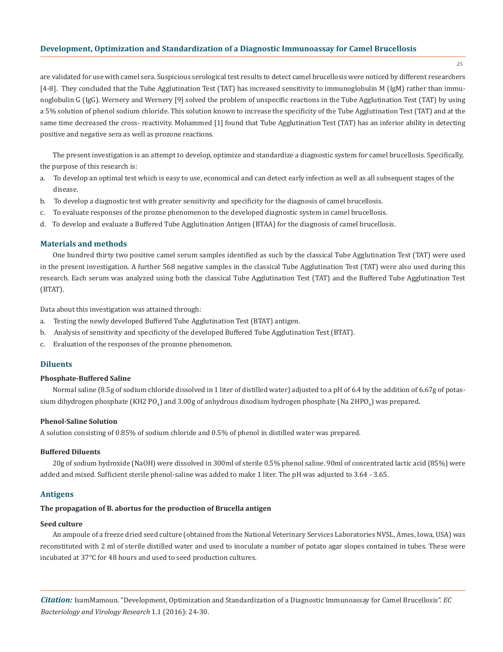25

are validated for use with camel sera. Suspicious serological test results to detect camel brucellosis were noticed by different researchers [4-8]. They concluded that the Tube Agglutination Test (TAT) has increased sensitivity to immunoglobulin M (IgM) rather than immunoglobulin G (IgG). Wernery and Wernery [9] solved the problem of unspecific reactions in the Tube Agglutination Test (TAT) by using a 5% solution of phenol sodium chloride. This solution known to increase the specificity of the Tube Agglutination Test (TAT) and at the same time decreased the cross- reactivity. Mohammed [1] found that Tube Agglutination Test (TAT) has an inferior ability in detecting positive and negative sera as well as prozone reactions.

The present investigation is an attempt to develop, optimize and standardize a diagnostic system for camel brucellosis. Specifically, the purpose of this research is:

- a. To develop an optimal test which is easy to use, economical and can detect early infection as well as all subsequent stages of the disease.
- b. To develop a diagnostic test with greater sensitivity and specificity for the diagnosis of camel brucellosis.
- c. To evaluate responses of the prozne phenomenon to the developed diagnostic system in camel brucellosis.
- d. To develop and evaluate a Buffered Tube Agglutination Antigen (BTAA) for the diagnosis of camel brucellosis.

#### **Materials and methods**

One hundred thirty two positive camel serum samples identified as such by the classical Tube Agglutination Test (TAT) were used in the present investigation. A further 568 negative samples in the classical Tube Agglutination Test (TAT) were also used during this research. Each serum was analyzed using both the classical Tube Agglutination Test (TAT) and the Buffered Tube Agglutination Test (BTAT).

Data about this investigation was attained through:

- a. Testing the newly developed Buffered Tube Agglutination Test (BTAT) antigen.
- b. Analysis of sensitivity and specificity of the developed Buffered Tube Agglutination Test (BTAT).
- c. Evaluation of the responses of the prozone phenomenon.

## **Diluents**

#### **Phosphate-Buffered Saline**

Normal saline (8.5g of sodium chloride dissolved in 1 liter of distilled water) adjusted to a pH of 6.4 by the addition of 6.67g of potassium dihydrogen phosphate (KH2 PO<sub>4</sub>) and 3.00g of anhydrous disodium hydrogen phosphate (Na 2HPO<sub>4</sub>) was prepared.

#### **Phenol-Saline Solution**

A solution consisting of 0.85% of sodium chloride and 0.5% of phenol in distilled water was prepared.

#### **Buffered Diluents**

20g of sodium hydroxide (NaOH) were dissolved in 300ml of sterile 0.5% phenol saline. 90ml of concentrated lactic acid (85%) were added and mixed. Sufficient sterile phenol-saline was added to make 1 liter. The pH was adjusted to 3.64 - 3.65.

## **Antigens**

# **The propagation of B. abortus for the production of Brucella antigen**

# **Seed culture**

An ampoule of a freeze dried seed culture (obtained from the National Veterinary Services Laboratories NVSL, Ames, Iowa, USA) was reconstituted with 2 ml of sterile distilled water and used to inoculate a number of potato agar slopes contained in tubes. These were incubated at 37°C for 48 hours and used to seed production cultures.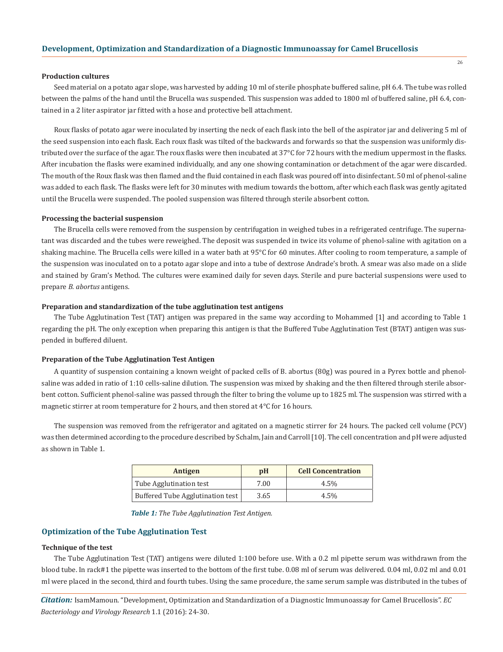#### **Production cultures**

Seed material on a potato agar slope, was harvested by adding 10 ml of sterile phosphate buffered saline, pH 6.4. The tube was rolled between the palms of the hand until the Brucella was suspended. This suspension was added to 1800 ml of buffered saline, pH 6.4, contained in a 2 liter aspirator jar fitted with a hose and protective bell attachment.

Roux flasks of potato agar were inoculated by inserting the neck of each flask into the bell of the aspirator jar and delivering 5 ml of the seed suspension into each flask. Each roux flask was tilted of the backwards and forwards so that the suspension was uniformly distributed over the surface of the agar. The roux flasks were then incubated at 37°C for 72 hours with the medium uppermost in the flasks. After incubation the flasks were examined individually, and any one showing contamination or detachment of the agar were discarded. The mouth of the Roux flask was then flamed and the fluid contained in each flask was poured off into disinfectant. 50 ml of phenol-saline was added to each flask. The flasks were left for 30 minutes with medium towards the bottom, after which each flask was gently agitated until the Brucella were suspended. The pooled suspension was filtered through sterile absorbent cotton.

#### **Processing the bacterial suspension**

The Brucella cells were removed from the suspension by centrifugation in weighed tubes in a refrigerated centrifuge. The supernatant was discarded and the tubes were reweighed. The deposit was suspended in twice its volume of phenol-saline with agitation on a shaking machine. The Brucella cells were killed in a water bath at 95°C for 60 minutes. After cooling to room temperature, a sample of the suspension was inoculated on to a potato agar slope and into a tube of dextrose Andrade's broth. A smear was also made on a slide and stained by Gram's Method. The cultures were examined daily for seven days. Sterile and pure bacterial suspensions were used to prepare *B. abortus* antigens.

## **Preparation and standardization of the tube agglutination test antigens**

The Tube Agglutination Test (TAT) antigen was prepared in the same way according to Mohammed [1] and according to Table 1 regarding the pH. The only exception when preparing this antigen is that the Buffered Tube Agglutination Test (BTAT) antigen was suspended in buffered diluent.

#### **Preparation of the Tube Agglutination Test Antigen**

A quantity of suspension containing a known weight of packed cells of B. abortus (80g) was poured in a Pyrex bottle and phenolsaline was added in ratio of 1:10 cells-saline dilution. The suspension was mixed by shaking and the then filtered through sterile absorbent cotton. Sufficient phenol-saline was passed through the filter to bring the volume up to 1825 ml. The suspension was stirred with a magnetic stirrer at room temperature for 2 hours, and then stored at  $4^{\circ}$ C for 16 hours.

The suspension was removed from the refrigerator and agitated on a magnetic stirrer for 24 hours. The packed cell volume (PCV) was then determined according to the procedure described by Schalm, Jain and Carroll [10]. The cell concentration and pH were adjusted as shown in Table 1.

| Antigen                          | pH   | <b>Cell Concentration</b> |
|----------------------------------|------|---------------------------|
| Tube Agglutination test          | 7.00 | $4.5\%$                   |
| Buffered Tube Agglutination test | 3.65 | $4.5\%$                   |

*Table 1: The Tube Agglutination Test Antigen.*

## **Optimization of the Tube Agglutination Test**

## **Technique of the test**

The Tube Agglutination Test (TAT) antigens were diluted 1:100 before use. With a 0.2 ml pipette serum was withdrawn from the blood tube. In rack#1 the pipette was inserted to the bottom of the first tube. 0.08 ml of serum was delivered. 0.04 ml, 0.02 ml and 0.01 ml were placed in the second, third and fourth tubes. Using the same procedure, the same serum sample was distributed in the tubes of

*Citation:* IsamMamoun. "Development, Optimization and Standardization of a Diagnostic Immunoassay for Camel Brucellosis". *EC Bacteriology and Virology Research* 1.1 (2016): 24-30.

26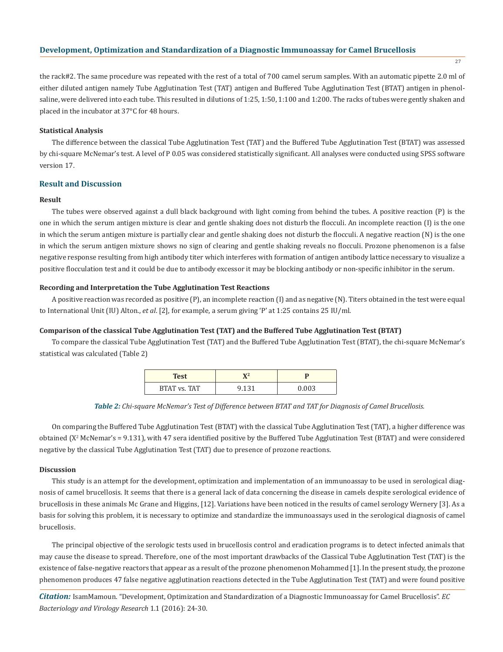27

the rack#2. The same procedure was repeated with the rest of a total of 700 camel serum samples. With an automatic pipette 2.0 ml of either diluted antigen namely Tube Agglutination Test (TAT) antigen and Buffered Tube Agglutination Test (BTAT) antigen in phenolsaline, were delivered into each tube. This resulted in dilutions of 1:25, 1:50, 1:100 and 1:200. The racks of tubes were gently shaken and placed in the incubator at 37°C for 48 hours.

## **Statistical Analysis**

The difference between the classical Tube Agglutination Test (TAT) and the Buffered Tube Agglutination Test (BTAT) was assessed by chi-square McNemar's test. A level of P 0.05 was considered statistically significant. All analyses were conducted using SPSS software version 17.

## **Result and Discussion**

## **Result**

The tubes were observed against a dull black background with light coming from behind the tubes. A positive reaction (P) is the one in which the serum antigen mixture is clear and gentle shaking does not disturb the flocculi. An incomplete reaction (I) is the one in which the serum antigen mixture is partially clear and gentle shaking does not disturb the flocculi. A negative reaction (N) is the one in which the serum antigen mixture shows no sign of clearing and gentle shaking reveals no flocculi. Prozone phenomenon is a false negative response resulting from high antibody titer which interferes with formation of antigen antibody lattice necessary to visualize a positive flocculation test and it could be due to antibody excessor it may be blocking antibody or non-specific inhibitor in the serum.

## **Recording and Interpretation the Tube Agglutination Test Reactions**

A positive reaction was recorded as positive (P), an incomplete reaction (I) and as negative (N). Titers obtained in the test were equal to International Unit (IU) Alton., *et al*. [2], for example, a serum giving 'P' at 1:25 contains 25 IU/ml.

## **Comparison of the classical Tube Agglutination Test (TAT) and the Buffered Tube Agglutination Test (BTAT)**

To compare the classical Tube Agglutination Test (TAT) and the Buffered Tube Agglutination Test (BTAT), the chi-square McNemar's statistical was calculated (Table 2)

| <b>Test</b>         |  |
|---------------------|--|
| <b>BTAT vs. TAT</b> |  |

*Table 2: Chi-square McNemar's Test of Difference between BTAT and TAT for Diagnosis of Camel Brucellosis.*

On comparing the Buffered Tube Agglutination Test (BTAT) with the classical Tube Agglutination Test (TAT), a higher difference was obtained (X<sup>2</sup> McNemar's = 9.131), with 47 sera identified positive by the Buffered Tube Agglutination Test (BTAT) and were considered negative by the classical Tube Agglutination Test (TAT) due to presence of prozone reactions.

## **Discussion**

This study is an attempt for the development, optimization and implementation of an immunoassay to be used in serological diagnosis of camel brucellosis. It seems that there is a general lack of data concerning the disease in camels despite serological evidence of brucellosis in these animals Mc Grane and Higgins, [12]. Variations have been noticed in the results of camel serology Wernery [3]. As a basis for solving this problem, it is necessary to optimize and standardize the immunoassays used in the serological diagnosis of camel brucellosis.

The principal objective of the serologic tests used in brucellosis control and eradication programs is to detect infected animals that may cause the disease to spread. Therefore, one of the most important drawbacks of the Classical Tube Agglutination Test (TAT) is the existence of false-negative reactors that appear as a result of the prozone phenomenon Mohammed [1]. In the present study, the prozone phenomenon produces 47 false negative agglutination reactions detected in the Tube Agglutination Test (TAT) and were found positive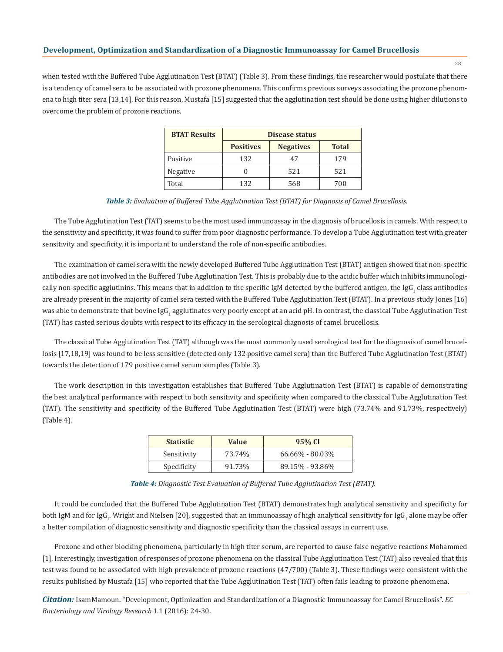$28$ 

when tested with the Buffered Tube Agglutination Test (BTAT) (Table 3). From these findings, the researcher would postulate that there is a tendency of camel sera to be associated with prozone phenomena. This confirms previous surveys associating the prozone phenomena to high titer sera [13,14]. For this reason, Mustafa [15] suggested that the agglutination test should be done using higher dilutions to overcome the problem of prozone reactions.

| <b>BTAT Results</b> | <b>Disease status</b> |                  |              |
|---------------------|-----------------------|------------------|--------------|
|                     | <b>Positives</b>      | <b>Negatives</b> | <b>Total</b> |
| Positive            | 132                   | 47               | 179          |
| Negative            |                       | 521              | 521          |
| Total               | 132                   | 568              | 700          |

*Table 3: Evaluation of Buffered Tube Agglutination Test (BTAT) for Diagnosis of Camel Brucellosis.*

The Tube Agglutination Test (TAT) seems to be the most used immunoassay in the diagnosis of brucellosis in camels. With respect to the sensitivity and specificity, it was found to suffer from poor diagnostic performance. To develop a Tube Agglutination test with greater sensitivity and specificity, it is important to understand the role of non-specific antibodies.

The examination of camel sera with the newly developed Buffered Tube Agglutination Test (BTAT) antigen showed that non-specific antibodies are not involved in the Buffered Tube Agglutination Test. This is probably due to the acidic buffer which inhibits immunologically non-specific agglutinins. This means that in addition to the specific IgM detected by the buffered antigen, the IgG<sub>1</sub> class antibodies are already present in the majority of camel sera tested with the Buffered Tube Agglutination Test (BTAT). In a previous study Jones [16] was able to demonstrate that bovine IgG<sub>1</sub> agglutinates very poorly except at an acid pH. In contrast, the classical Tube Agglutination Test (TAT) has casted serious doubts with respect to its efficacy in the serological diagnosis of camel brucellosis.

The classical Tube Agglutination Test (TAT) although was the most commonly used serological test for the diagnosis of camel brucellosis [17,18,19] was found to be less sensitive (detected only 132 positive camel sera) than the Buffered Tube Agglutination Test (BTAT) towards the detection of 179 positive camel serum samples (Table 3).

The work description in this investigation establishes that Buffered Tube Agglutination Test (BTAT) is capable of demonstrating the best analytical performance with respect to both sensitivity and specificity when compared to the classical Tube Agglutination Test (TAT). The sensitivity and specificity of the Buffered Tube Agglutination Test (BTAT) were high (73.74% and 91.73%, respectively) (Table 4).

| <b>Statistic</b> | <b>Value</b> | 95% CI              |
|------------------|--------------|---------------------|
| Sensitivity      | 73.74%       | $66.66\% - 80.03\%$ |
| Specificity      | 91.73%       | 89.15% - 93.86%     |

*Table 4: Diagnostic Test Evaluation of Buffered Tube Agglutination Test (BTAT).*

It could be concluded that the Buffered Tube Agglutination Test (BTAT) demonstrates high analytical sensitivity and specificity for both IgM and for IgG<sub>1</sub>. Wright and Nielsen [20], suggested that an immunoassay of high analytical sensitivity for IgG<sub>1</sub> alone may be offer a better compilation of diagnostic sensitivity and diagnostic specificity than the classical assays in current use.

Prozone and other blocking phenomena, particularly in high titer serum, are reported to cause false negative reactions Mohammed [1]. Interestingly, investigation of responses of prozone phenomena on the classical Tube Agglutination Test (TAT) also revealed that this test was found to be associated with high prevalence of prozone reactions (47/700) (Table 3). These findings were consistent with the results published by Mustafa [15] who reported that the Tube Agglutination Test (TAT) often fails leading to prozone phenomena.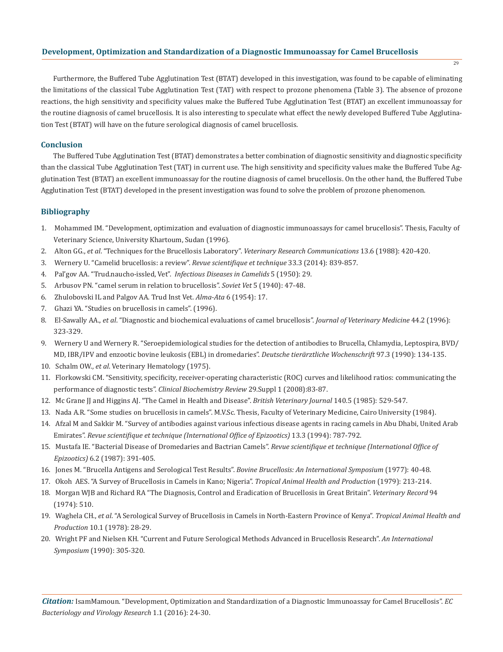Furthermore, the Buffered Tube Agglutination Test (BTAT) developed in this investigation, was found to be capable of eliminating the limitations of the classical Tube Agglutination Test (TAT) with respect to prozone phenomena (Table 3). The absence of prozone reactions, the high sensitivity and specificity values make the Buffered Tube Agglutination Test (BTAT) an excellent immunoassay for the routine diagnosis of camel brucellosis. It is also interesting to speculate what effect the newly developed Buffered Tube Agglutination Test (BTAT) will have on the future serological diagnosis of camel brucellosis.

## **Conclusion**

The Buffered Tube Agglutination Test (BTAT) demonstrates a better combination of diagnostic sensitivity and diagnostic specificity than the classical Tube Agglutination Test (TAT) in current use. The high sensitivity and specificity values make the Buffered Tube Agglutination Test (BTAT) an excellent immunoassay for the routine diagnosis of camel brucellosis. On the other hand, the Buffered Tube Agglutination Test (BTAT) developed in the present investigation was found to solve the problem of prozone phenomenon.

## **Bibliography**

- 1. Mohammed IM. "Development, optimization and evaluation of diagnostic immunoassays for camel brucellosis". Thesis, Faculty of Veterinary Science, University Khartoum, Sudan (1996).
- 2. Alton GG., *et al*. "Techniques for the Brucellosis Laboratory". *Veterinary Research Communications* 13.6 (1988): 420-420.
- 3. Wernery U. "Camelid brucellosis: a review". *Revue scientifique et technique* 33.3 (2014): 839-857.
- 4. Pal'gov AA. "Trud.naucho-issled, Vet". *Infectious Diseases in Camelids* 5 (1950): 29.
- 5. Arbusov PN. "camel serum in relation to brucellosis". *Soviet Vet* 5 (1940): 47-48.
- 6. Zhulobovski IL and Palgov AA. Trud Inst Vet. *Alma-Ata* 6 (1954): 17.
- 7. Ghazi YA. "Studies on brucellosis in camels". (1996).
- 8. El-Sawally AA., *et al*. "Diagnostic and biochemical evaluations of camel brucellosis". *Journal of Veterinary Medicine* 44.2 (1996): 323-329.
- 9. Wernery U and Wernery R. "Seroepidemiological studies for the detection of antibodies to Brucella, Chlamydia, Leptospira, BVD/ MD, IBR/IPV and enzootic bovine leukosis (EBL) in dromedaries". *Deutsche tierärztliche Wochenschrift* 97.3 (1990): 134-135.
- 10. Schalm OW., *et al*. Veterinary Hematology (1975).
- 11. Florkowski CM. "Sensitivity, specificity, receiver-operating characteristic (ROC) curves and likelihood ratios: communicating the performance of diagnostic tests". *Clinical Biochemistry Review* 29.Suppl 1 (2008):83-87.
- 12. Mc Grane JJ and Higgins AJ. "The Camel in Health and Disease". *British Veterinary Journal* 140.5 (1985): 529-547.
- 13. Nada A.R. "Some studies on brucellosis in camels". M.V.Sc. Thesis, Faculty of Veterinary Medicine, Cairo University (1984).
- 14. Afzal M and Sakkir M. "Survey of antibodies against various infectious disease agents in racing camels in Abu Dhabi, United Arab Emirates". *Revue scientifique et technique (International Office of Epizootics)* 13.3 (1994): 787-792.
- 15. Mustafa IE. "Bacterial Disease of Dromedaries and Bactrian Camels". *Revue scientifique et technique (International Office of Epizootics)* 6.2 (1987): 391-405.
- 16. Jones M. "Brucella Antigens and Serological Test Results". *Bovine Brucellosis: An International Symposium* (1977): 40-48.
- 17. Okoh AES. "A Survey of Brucellosis in Camels in Kano; Nigeria". *Tropical Animal Health and Production* (1979): 213-214.
- 18. Morgan WJB and Richard RA "The Diagnosis, Control and Eradication of Brucellosis in Great Britain". *Veterinary Record* 94 (1974): 510.
- 19. Waghela CH., *et al*. "A Serological Survey of Brucellosis in Camels in North-Eastern Province of Kenya". *Tropical Animal Health and Production* 10.1 (1978): 28-29.
- 20. Wright PF and Nielsen KH. "Current and Future Serological Methods Advanced in Brucellosis Research". *An International Symposium* (1990): 305-320.

29